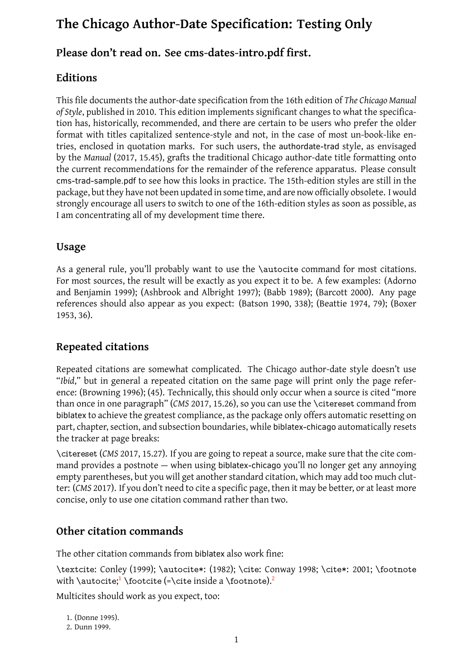# **Please don't read on. See cms-dates-intro.pdf first.**

## **Editions**

This file documents the author-date specification from the 16th edition of *The Chicago Manual of Style*, published in 2010. This edition implements significant changes to what the specification has, historically, recommended, and there are certain to be users who prefer the older format with titles capitalized sentence-style and not, in the case of most un-book-like entries, enclosed in quotation marks. For such users, the authordate-trad style, as envisaged by the *Manual* (2017, 15.45), grafts the traditional Chicago author-date title formatting onto the current recommendations for the remainder of the reference apparatus. Please consult cms-trad-sample.pdf to see how this looks in practice. The 15th-edition styles are still in the package, but th[ey ha](#page-15-0)ve not been updated in some time, and are now officially obsolete. I would strongly encourage all users to switch to one of the 16th-edition styles as soon as possible, as I am concentrating all of my development time there.

## **Usage**

As a general rule, you'll probably want to use the *\autocite command for most citations*. For most sources, the result will be exactly as you expect it to be. A few examples: (Adorno and Benjamin 1999); (Ashbrook and Albright 1997); (Babb 1989); (Barcott 2000). Any page references should also appear as you expect: (Batson 1990, 338); (Beattie 1974, 79); (Boxer 1953, 36).

## **[Rep](#page-7-0)eated citations**

Repeated citations are somewhat complicated. The Chicago author-date style doesn't use "*Ibid*," but in general a repeated citation on the same page will print only the page reference: (Browning 1996); (45). Technically, this should only occur when a source is cited "more than once in one paragraph" (*CMS* 2017, 15.26), so you can use the \citereset command from biblatex to achieve the greatest compliance, as the package only offers automatic resetting on part, chapter, se[ction,](#page-7-1) and subsection boundaries, while biblatex-chicago automatically resets the tracker at page breaks:

\citereset (*CMS* 2017, 15.27). If yo[u are g](#page-15-0)oing to repeat a source, make sure that the cite command provides a postnote — when using biblatex-chicago you'll no longer get any annoying empty parentheses, but you will get another standard citation, which may add too much clutter: (*CMS* 2017). [If you](#page-15-0) don't need to cite a specific page, then it may be better, or at least more concise, only to use one citation command rather than two.

## **Other c[itati](#page-15-0)on commands**

The other citation commands from biblatex also work fine:

\textcite: Conley (1999); \autocite\*: (1982); \cite: Conway 1998; \cite\*: 2001; \footnote with **\autocite;<sup>1</sup> \footcite (=\cite** inside a **\footnote).**<sup>2</sup>

Multicites should work as you expect, too:

1. (Donne 1995)[.](#page-0-0)

<span id="page-0-0"></span>2. Dunn 1999.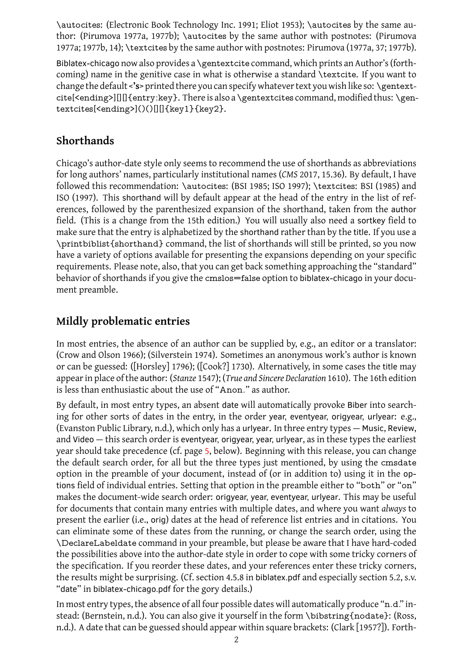thorize 1977a, 1977a, 1977b);  $\mathcal{P}$  the same author with postnotes: (Pirumova 1977b);  $\mathcal{P}$ 1977a; 1977b, 14); \textcites by the same author with postnotes: Pirumova (1977a, 37; 1977b).

Biblatex-chicago now also provides a \gentext[cite](#page-8-0) comma[nd, w](#page-8-1)hich prints an Author's (forthcoming) name in [the ge](#page-13-0)[nitive c](#page-13-1)ase in what is otherwise a standard \textcite. If you want to [chang](#page-13-0)[e the de](#page-13-1)fault <**'s**> printed there you can specify whatever text you wish [like so](#page-13-0): \g[entext](#page-13-1)cite[<ending>][][]{entry:key}. There is also a \gentextcites command, modified thus: [\gen](#page-6-0)[textcite](#page-6-0)s[<ending>]()()[][]{key1}{key2}.

# **Shorthands**

Chicago's author-date style only seems to recommend the use of shorthands as abbreviations for long authors' names, particularly institutional names (*CMS* 2017, 15.36). By default, I have followed this recommendation: \autocites: (BSI 1985; ISO 1997); \textcites: BSI (1985) and ISO (1997). This shorthand will by default appear at the head of the entry in the list of references, followed by the parenthesized expansion of the sho[rthan](#page-15-0)d, taken from the author field. (This is a change from the 15th edition.) [You w](#page-7-2)ill u[sually](#page-10-0) also need a sortkey field to mak[e sure](#page-10-0) that the entry is alphabetized by the shorthand rather than by the title. I[f you](#page-7-2) use a \printbiblist{shorthand} command, the list of shorthands will still be printed, so you now have a variety of options available for presenting the expansions depending on your specific requirements. Please note, also, that you can get back something approaching the "standard" behavior of shorthands if you give the cmslos=false option to biblatex-chicago in your document preamble.

## **Mildly problematic entries**

In most entries, the absence of an author can be supplied by, e.g., an editor or a translator: (Crow and Olson 1966); (Silverstein 1974). Sometimes an anonymous work's author is known or can be guessed: ([Horsley] 1796); ([Cook?] 1730). Alternatively, in some cases the title may appear in place of the author: (*Stanze* 1547); (*True and Sincere Declaration* 1610). The 16th edition is less than enth[usiast](#page-8-2)ic about the [use of](#page-14-0) "Anon." as author.

By default, in most entry typ[es, an](#page-10-1) absent date [wi](#page-8-3)ll automatically provoke Biber into searching for other sorts of dates in the e[ntry,](#page-14-1) in the order year, eventyear[, orig](#page-14-2)year, urlyear: e.g., (Evanston Public Library, n.d.), which only has a urlyear. In three entry types — Music, Review, and Video — this search order is eventyear, origyear, year, urlyear, as in these types the earliest year should take precedence (cf. page 5, below). Beginning with this release, you can change the default search order, [for](#page-9-0) all but the three types just mentioned, by using the cmsdate option in the preamble of your document, instead of (or in addition to) using it in the options field of individual entries. Settin[g](#page-4-0) that option in the preamble either to "both" or "on" makes the document-wide search order: origyear, year, eventyear, urlyear. This may be useful for documents that contain many entries with multiple dates, and where you want *always* to present the earlier (i.e., orig) dates at the head of reference list entries and in citations. You can eliminate some of these dates from the running, or change the search order, using the \DeclareLabeldate command in your preamble, but please be aware that I have hard-coded the possibilities above into the author-date style in order to cope with some tricky corners of the specification. If you reorder these dates, and your references enter these tricky corners, the results might be surprising. (Cf. section 4.5.8 in biblatex.pdf and especially section 5.2, s.v. "date" in biblatex-chicago.pdf for the gory details.)

In most entry types, the absence of all four possible dates will automatically produce "n.d." instead: (Bernstein, n.d.). You can also give it yourself in the form \bibstring{nodate}: (Ross, n.d.). A date that can be guessed should appear within square brackets: (Clark [1957?]). Forth-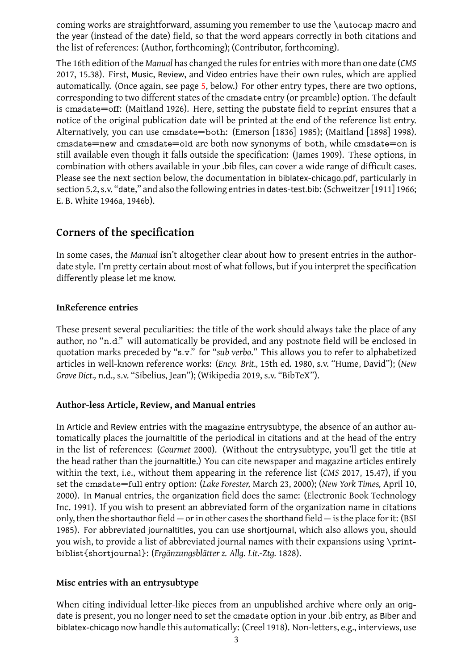the year (instead of the date) field, so that the word appears correctly in both citations and  $\mathcal{A}$ the list of references: (Author, forthcoming); (Contributor, forthcoming).

The 16th edition of the *Manual* has changed the rules for entries with more than one date (*CMS* 2017, 15.38). First, Music, Review, and Video entries have their own rules, which are applied automatically. (Once again, see page [5, belo](#page-6-0)w.) For other [entry types, th](#page-7-3)ere are two options, corresponding to two different states of the cmsdate entry (or preamble) option. The default is cmsdate=off: (Maitland 1926). Here, setting the pubstate field to reprint ensures that a [notic](#page-15-0)e of the original publication da[te](#page-4-0) will be printed at the end of the reference list entry. Alternatively, you can use cmsdate=both: (Emerson [1836] 1985); (Maitland [1898] 1998). cmsdate=new and cmsda[te=o](#page-11-0)ld are both now synonyms of both, while cmsdate=on is still available even though it falls outside the specification: (James 1909). These options, in combination with others available in your .bib files, ca[n cover a wid](#page-8-4)e range of d[ifficult cases](#page-11-1). Please see the next section below, the documentation in biblatex-chicago.pdf, particularly in section 5.2, s.v. "date," and also the following entries in dates-test.bib[: \(Sch](#page-10-2)weitzer [1911] 1966; E. B. White 1946a, 1946b).

## **Corners [of th](#page-15-1)[e spec](#page-15-2)ification**

In some cases, the *Manual* isn't altogether clear about how to present entries in the authordate style. I'm pretty certain about most of what follows, but if you interpret the specification differently please let me know.

#### **InReference entries**

These present several peculiarities: the title of the work should always take the place of any author, no "n.d." will automatically be provided, and any postnote field will be enclosed in quotation marks preceded by "s.v." for "*sub verbo*." This allows you to refer to alphabetized articles in well-known reference works: (*Ency. Brit.,* 15th ed*.* 1980, s.v. "Hume, David"); (*New Grove Dict.,* n.d., s.v. "Sibelius, Jean"); (Wikipedia 2019, s.v. "BibTeX").

#### **Author-le[ss A](#page-12-0)rticle, Review, and Manual entries**

In Article and Review entries with the magazine entrysubtype, the absence of an author automatically places the journaltitle of the periodical in citations and at the head of the entry in the list of references: (*Gourmet* 2000). (Without the entrysubtype, you'll get the title at the head rather than the journaltitle.) You can cite newspaper and magazine articles entirely within the text, i.e., without them appearing in the reference list (*CMS* 2017, 15.47), if you set the cmsdate=full entry option: (*Lake Forester,* March 23, 2000); (*New York Times,* April 10, 2000). In Manual entries, the orga[nizatio](#page-9-1)n field does the same: (Electronic Book Technology Inc. 1991). If you wish to present an abbreviated form of the organizatio[n nam](#page-15-0)e in citations only, then the shortauthor field  $-$  or in other cases the [shorthand](#page-11-2) field  $-$  is the place f[or it: \(BSI](#page-12-1) [1985](#page-12-1)). For abbreviated journaltitles, you can use shortjournal, which also allows you, should you [wish](#page-8-0), to provide a list of abbreviated journal names with their expansions using \printbiblist{shortjournal}: (*Ergänzungsblätter z. Allg. Lit.-Ztg.* 1828).

#### **Misc entries with an entrysubtype**

When citing individual letter-like pieces from an unpublished archive where only an origdate is present, you no longer need to set the cmsdate option in your .bib entry, as Biber and biblatex-chicago now handle this automatically: (Creel 1918). Non-letters, e.g., interviews, use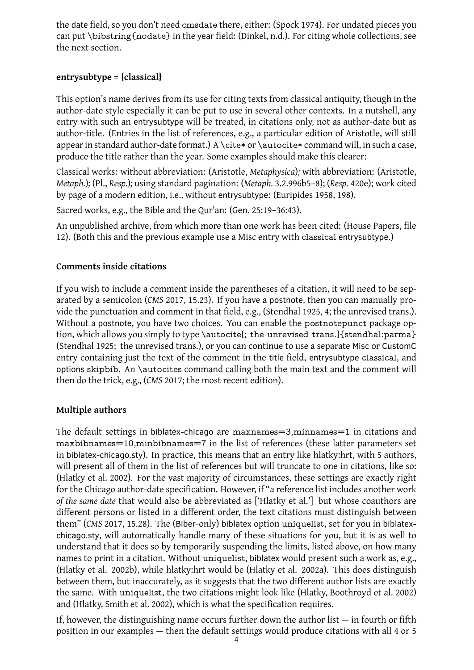can put \bibstring{nodate} in the year field: (Dinkel, n.d.). For citing whole collections, see the next section.

## **entrysubtype = {classical}**

This option's name derives from its use for citing texts from classical antiquity, though in the author-date style especially it can be put to use in several other contexts. In a nutshell, any entry with such an entrysubtype will be treated, in citations only, not as author-date but as author-title. (Entries in the list of references, e.g., a particular edition of Aristotle, will still appear in standard author-date format.) A \cite\* or \autocite\* command will, in such a case, produce the title rather than the year. Some examples should make this clearer:

Classical works: without abbreviation: (Aristotle, *Metaphysica*)*;* with abbreviation: (Aristotle, *Metaph.*)*;* (Pl., *Resp.*)*;* using standard pagination: (*Metaph.* 3.2.996b5–8); (*Resp.* 420e); work cited by page of a modern edition, i.e., without entrysubtype: (Euripides 1958, 198).

Sacred works, e.g., the Bible and the Qur'an: (Gen. [25:19–36:43](#page-6-1)).

An unpublish[ed ar](#page-13-2)chive, from which more than one work has been cit[ed: \(H](#page-13-2)ouse Papers, file 12). (Both this and the previous example use a Misc entry with cla[ssica](#page-9-2)l entrysubtype.)

#### **Comments inside citations**

If you wish to include a comment inside the parentheses of a citation, it will need to be separated by a semicolon (*CMS* 2017, 15.23). If you have a postnote, then you can manually provide the punctuation and comment in that field, e.g., (Stendhal 1925, 4; the unrevised trans.). Without a postnote, you have two choices. You can enable the postnotepunct package option, which allows you simp[ly to t](#page-15-0)ype \autocite[; the unrevised trans.]{stendhal:parma} (Stendhal 1925; the unrevised trans.), or you can continue to u[se a s](#page-14-3)eparate Misc or CustomC entry containing just the text of the comment in the title field, entrysubtype classical, and options skipbib. An \autocites command calling both the main text and the comment will then do t[he tric](#page-14-3)k, e.g., (*CMS* 2017; the most recent edition).

### **Multiple authors**

The default settings in biblatex-chicago are maxnames=3,minnames=1 in citations and maxbibnames=10,minbibnames=7 in the list of references (these latter parameters set in biblatex-chicago.sty). In practice, this means that an entry like hlatky:hrt, with 5 authors, will present all of them in the list of references but will truncate to one in citations, like so: (Hlatky et al. 2002). For the vast majority of circumstances, these settings are exactly right for the Chicago author-date specification. However, if "a reference list includes another work *of the same date* that would also be abbreviated as ['Hlatky et al.'] but whose coauthors are different per[sons o](#page-10-3)r listed in a different order, the text citations must distinguish between them" (*CMS* 2017, 15.28). The (Biber-only) biblatex option uniquelist, set for you in biblatexchicago.sty, will automatically handle many of these situations for you, but it is as well to understand that it does so by temporarily suspending the limits, listed above, on how many names to pr[int in](#page-15-0) a citation. Without uniquelist, biblatex would present such a work as, e.g., (Hlatky et al. 2002b), while hlatky:hrt would be (Hlatky et al. 2002a). This does distinguish between them, but inaccurately, as it suggests that the two different author lists are exactly the same. With uniquelist, the two citations might look like (Hlatky, Boothroyd et al. 2002) and (Hlatky, Smith et al. 2002), which is what the specification requires.

If, however, the distinguishing name occurs further down the author list — in fourth or fifth position in our examples — then the default settings would produce citations with all 4 or 5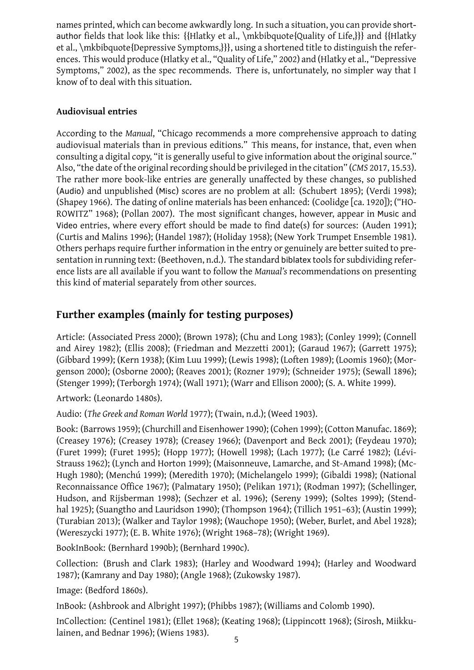author fields that look like this state that look like this state  $\boldsymbol{y}$  and  ${{\mathbf{y}}}$  and  ${{\mathbf{y}}}$  and  ${{\mathbf{y}}}$  and  ${{\mathbf{y}}}$  and  ${{\mathbf{y}}}$  and  ${{\mathbf{y}}}$  and  ${{\mathbf{y}}}$  and  ${{\mathbf{y}}}$  and  ${{\mathbf{y}}}$  and  ${{\mathbf{y}}}$  and  ${{$ et al., \mkbibquote{Depressive Symptoms,}}}, using a shortened title to distinguish the references. This would produce (Hlatky et al., "Quality of Life," 2002) and (Hlatky et al., "Depressive Symptoms," 2002), as the spec recommends. There is, unfortunately, no simpler way that I know of to deal with this situation.

## **Audiovisual entries**

<span id="page-4-0"></span>According to the *Manual*, "Chicago recommends a more comprehensive approach to dating audiovisual materials than in previous editions." This means, for instance, that, even when consulting a digital copy, "it is generally useful to give information about the original source." Also, "the date of the original recording should be privileged in the citation" (*CMS* 2017, 15.53). The rather more book-like entries are generally unaffected by these changes, so published (Audio) and unpublished (Misc) scores are no problem at all: (Schubert 1895); (Verdi 1998); (Shapey 1966). The dating of online materials has been enhanced: (Coolidge [ca. [1920\]\)](#page-15-0); ("HO-ROWITZ" 1968); (Pollan 2007). The most significant changes, however, appear in Music and Video entries, where every effort should be made to find date(s) for sou[rces:](#page-13-3) (Auden [1991](#page-15-3)); (Curtis [and M](#page-14-4)alins 1996); (Handel 1987); (Holiday 1958); (New York Trumpe[t Ensemble](#page-8-5) 1981). Others pe[rhaps](#page-10-4) requiref[urthe](#page-13-4)r information in the entry or genuinely are better suited to presentation in running text: (Beethoven, n.d.). The standard biblatex tools for subdividing [refer](#page-6-2)ence lists are all av[ailab](#page-8-6)le if you w[ant t](#page-10-5)o follow the *[Man](#page-10-6)ual's* recommendations on pres[entin](#page-12-2)g this kind of material separately from other sources.

# **Further examples (mainly for testing purposes)**

Article: (Associated Press 2000); (Brown 1978); (Chu and Long 1983); (Conley 1999); (Connell and Airey 1982); (Ellis 2008); (Friedman and Mezzetti 2001); (Garaud 1967); (Garrett 1975); (Gibbard 1999); (Kern 1938); (Kim Luu 1999); (Lewis 1998); (Loften 1989); (Loomis 1960); (Morgenson 2000); (Osborne 2[000\);](#page-6-3) (Reaves 2[001\);](#page-7-4) (Rozner 1979); ([Schne](#page-7-5)ider 1975[\); \(Sew](#page-7-6)all 1896); (Stenger 1[999\);](#page-7-7) (Terbor[gh](#page-8-7) 1974); (Wall 1971); (Warr and [Elliso](#page-9-3)n 2000); ([S. A. W](#page-9-4)hite 1999[\).](#page-9-5)

Artwork: [\(Leo](#page-9-6)nardo 1[480s\)](#page-10-7).

Audio: (*[The G](#page-12-3)reek and Ro[man W](#page-12-4)orld* 1977[\); \(Tw](#page-13-5)ain, n.d.); [\(Wee](#page-13-6)d 1903).

Book: (B[arrow](#page-14-5)s 1959); (Ch[urchi](#page-14-6)ll and E[isenh](#page-15-4)ower 1990); (Cohen [1999\)](#page-15-5); (Cotton Ma[nufac.](#page-15-6) 1869); (Creasey 1976); (Cre[asey](#page-11-3) 1978); (Creasey 1966); (Davenport and Beck 2001); (Feydeau 1970); (Furet 1999); (Furet 1995); (Hopp [1977](#page-9-7)); (Howell [199](#page-15-7)8); (Lach [197](#page-15-8)7); (Le Carré 1982); (Lévi-Strauss 1962); ([Lynch](#page-6-4) and Horton 1999); (Maison[neuv](#page-7-8)e, Lamar[che, a](#page-7-9)nd St-Amand 1998[\); \(Mc](#page-8-8)-Hugh 19[80\); \(M](#page-8-9)enchú 19[99\); \(M](#page-8-10)eredith 1[970\);](#page-8-11) (Michelangelo 1999); ([Gibald](#page-8-12)i 1998); (Na[tiona](#page-9-8)l Recon[naissa](#page-9-9)nce Office 1967); (Pal[matar](#page-10-8)y 1950); ([Pelika](#page-10-9)n 1971); [\(Rod](#page-11-4)man 1997); [\(Sche](#page-11-5)llinger, Hudson[, and](#page-11-6) Rijsbe[rman](#page-9-10) 1998);([Sechz](#page-11-7)er et al. 1996); (Sereny 1999); (Soltes 19[99\); \(S](#page-11-8)tendhal 19[25\); \(](#page-11-9)Suangtho a[nd La](#page-11-10)uridson 199[0\); \(T](#page-11-11)hompson 1964); [\(Tillic](#page-11-12)h 1951–6[3\); \(Au](#page-9-11)stin 1999); (Turabian 2013); (Walk[er an](#page-12-5)d Taylor 1998[\); \(W](#page-12-6)auchope 1[950\);](#page-12-7) (Weber, Bu[rlet, a](#page-13-7)nd Abel 1928); (Wereszycki 1977); (E. B. [White](#page-13-8) 1976); (Wright 1[968–78](#page-14-7)); (Wright [1969](#page-14-8)).

Bo[okInB](#page-14-3)ook: (Bernhard 1990b); (Be[rnhar](#page-14-9)d 1990c).

Collection[: \(Br](#page-15-9)ush and Clark 1983); [\(Har](#page-15-10)ley and Woo[dwar](#page-15-11)d 19[94\); \(](#page-16-2)Harley and Woo[dwar](#page-15-12)d 1987); (Kam[rany a](#page-15-13)nd Day 1980)[; \(Ang](#page-15-14)le 1968); [\(Zukowsk](#page-16-1)y 1987).

Image: (Bedford 1860s).

InBook: (Ashbrook and Albright [199](#page-7-10)7); (Phibbs 1987); (William[s and](#page-10-10) Colomb 1990).

[InCo](#page-10-11)llection: (Centinel 1[981\); \(](#page-10-12)Ellet 19[68\); \(K](#page-6-5)eating 1968[\); \(Lip](#page-16-3)pincott 1968); (Sirosh, Miikkulainen, and Bednar [199](#page-6-6)6); (Wiens 1983).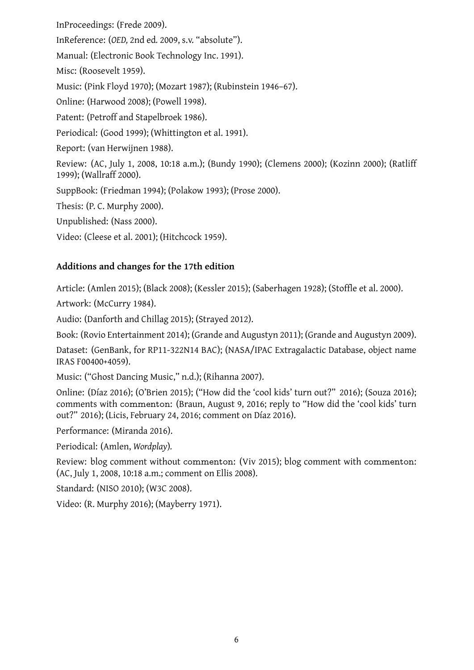InReference: (*OED,* 2nd ed*.* 2009, s.v. "absolute"). Manual: (Electronic B[ook T](#page-9-12)echnology Inc. 1991). Misc: (Roosevelt 1959). Music: (Pink Floyd 1970);([Moza](#page-12-9)rt 1987); ([Rubin](#page-8-0)stein 1946–67). Online: (Harwood 2008); (Powell 1998). Patent: (Petroff [and S](#page-13-9)tapelbroek 1986). Periodical: (Good 1[999\);](#page-12-10) (Whitti[ng](#page-13-10)[ton e](#page-12-11)t al. 1991). Report: (van Her[wijnen](#page-10-13) 1988). Review: (AC, July 1, 2008, 10:18 [a.m.\)](#page-12-12); (Bu[ndy](#page-15-15) 1990); (Clemens 2000); (Kozinn 2000); (Ratliff 1999); (Wallraff 2[000\).](#page-9-13) SuppBook: (Friedman 1[994\);](#page-15-16) (Polakow 1993); (Prose 2000). Thesis: (P. C. Murphy 2000). [Unpu](#page-13-11)blished: ([Nass](#page-15-17) 2000).

Video: (Cleese et al. 2[0](#page-12-13)[01\); \(](#page-9-14)Hitchcock [1959\)](#page-13-12).

#### **Additions and cha[nges](#page-12-14) for the 17th [editi](#page-10-14)on**

Article: (Amlen 2015); (Black 2008); (Kessler 2015); (Saberhagen 1928); (Stoffle et al. 2000).

Artwork: (McCurry 1984).

Audio: (Danforth and Chillag 2015); (Strayed 2012).

Book: (Rovio En[terta](#page-6-7)inment [2014\)](#page-7-12); (Grande [and A](#page-11-13)ugustyn 2011); [\(Gra](#page-13-13)nde and Augus[tyn](#page-14-10) 2009).

Dataset: (GenBank, [for R](#page-11-14)P11[-322N](#page-8-13)14 BAC); ([NASA](#page-14-11)/IPAC Extragalactic Database, object name IRAS F00400+4059).

Music: ("Ghost Dancing Mus[ic,"](#page-13-14) n.d.); (Rihanna 2007).

Online: (Díaz 2016); (O'Brien [2015\); \("How](#page-9-15) did the 'cool kids' turn out?" 2016); (Souza [2016\);](#page-12-15) [comments with](#page-12-15) commenton: (Braun, August 9, 2016; reply to "How did the 'cool kids' turn out?" 2016); (Licis, February 24, [2016](#page-9-16); comment [on D](#page-13-15)íaz 2016).

Performance: [\(Mir](#page-8-14)anda 2016[\).](#page-12-16)

Periodical: (Amlen, *Wordplay*)*.*

Revie[w: blo](#page-10-15)g comment without commenton: (Viv 201[5\); bl](#page-8-14)og comment with commenton: (AC, July 1, 2008, 10:18 a[.m.; c](#page-11-15)omment on Ellis 2008).

Standard: (NISO 20[10\); \(W3C](#page-6-8) 2008).

Video: (R. Murphy 2016); (Mayberry 1971).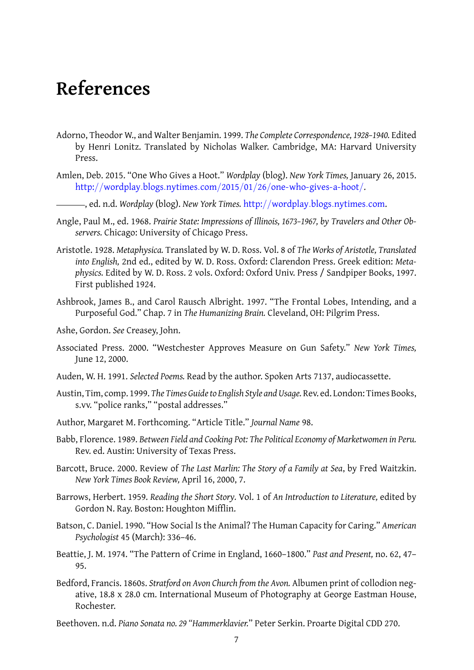# **References**

- Adorno, Theodor W., and Walter Benjamin. 1999. *The Complete Correspondence, 1928–1940.* Edited by Henri Lonitz. Translated by Nicholas Walker. Cambridge, MA: Harvard University Press.
- Amlen, Deb. 2015. "One Who Gives a Hoot." *Wordplay* (blog). *New York Times,* January 26, 2015. http://wordplay*.*blogs*.*nytimes*.*com/2015/01/26/one-who-gives-a-hoot/.

<span id="page-6-7"></span>, ed. n.d. *Wordplay* (blog). *New York Times.* http://wordplay*.*blogs*.*nytimes*.*com.

- Angle, Paul M., ed. 1968. *[Prairie State: Impressions of Illinois, 1673–1967, by Travelers](http://wordplay.blogs.nytimes.com/2015/01/26/one-who-gives-a-hoot/) and Other Observers.* Chicago: University of Chicago Press.
- <span id="page-6-8"></span><span id="page-6-5"></span>Aristotle. 1928. *Metaphysica.* Translated by W. D. Ross. Vol. 8 of *[The Works of Aristotle, Tr](http://wordplay.blogs.nytimes.com)anslated into English,* 2nd ed., edited by W. D. Ross. Oxford: Clarendon Press. Greek edition: *Metaphysics.* Edited by W. D. Ross. 2 vols. Oxford: Oxford Univ. Press / Sandpiper Books, 1997. First published 1924.
- <span id="page-6-1"></span>Ashbrook, James B., and Carol Rausch Albright. 1997. "The Frontal Lobes, Intending, and a Purposeful God." Chap. 7 in *The Humanizing Brain.* Cleveland, OH: Pilgrim Press.

Ashe, Gordon. *See* Creasey, John.

- Associated Press. 2000. "Westchester Approves Measure on Gun Safety." *New York Times,* June 12, 2000.
- Auden, W. H. 1991. *Selected Poems.* Read by the author. Spoken Arts 7137, audiocassette.
- <span id="page-6-3"></span>Austin, Tim, comp. 1999. *The Times Guide to English Style and Usage.* Rev. ed. London: Times Books, s.vv. "police ranks," "postal addresses."
- <span id="page-6-2"></span>Author, Margaret M. Forthcoming. "Article Title." *Journal Name* 98.
- Babb, Florence. 1989. *Between Field and Cooking Pot: The Political Economy of Marketwomen in Peru.* Rev. ed. Austin: University of Texas Press.
- <span id="page-6-0"></span>Barcott, Bruce. 2000. Review of *The Last Marlin: The Story of a Family at Sea*, by Fred Waitzkin. *New York Times Book Review,* April 16, 2000, 7.
- Barrows, Herbert. 1959. *Reading the Short Story.* Vol. 1 of *An Introduction to Literature,* edited by Gordon N. Ray. Boston: Houghton Mifflin.
- <span id="page-6-4"></span>Batson, C. Daniel. 1990. "How Social Is the Animal? The Human Capacity for Caring." *American Psychologist* 45 (March): 336–46.
- Beattie, J. M. 1974. "The Pattern of Crime in England, 1660–1800." *Past and Present,* no. 62, 47– 95.
- Bedford, Francis. 1860s. *Stratford on Avon Church from the Avon.* Albumen print of collodion negative, 18.8 x 28.0 cm. International Museum of Photography at George Eastman House, Rochester.
- <span id="page-6-6"></span>Beethoven. n.d. *P[iano So](#page-6-6)nata no. 29 "Hammerklavier.*" Peter Serkin. Proarte Digital CDD 270.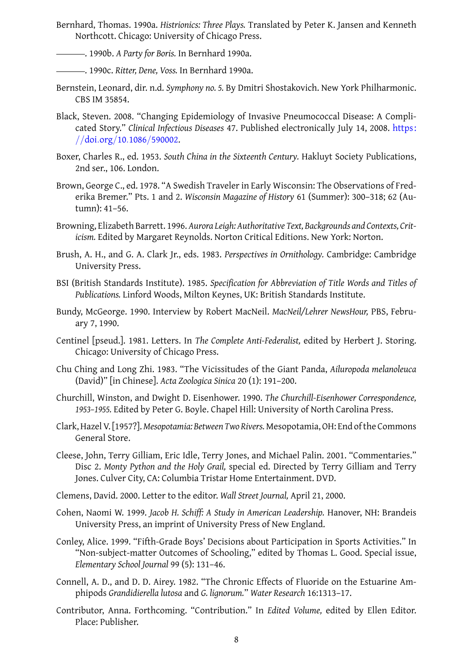- Northcott. Chicago: University of Chicago Press.
- <span id="page-7-13"></span>. 1990b. *A Party for Boris.* In Bernhard 1990a.
	- . 1990c. *Ritter, Dene, Voss.* In Bernhard 1990a.
- Bernstein, Leonard, dir. n.d. *Symphony no. 5.* [By Dm](#page-7-13)itri Shostakovich. New York Philharmonic. CBS IM 35854.
- Black, Steven. 2008. "Changing Epidemiolo[gy of In](#page-7-13)vasive Pneumococcal Disease: A Complicated Story." *Clinical Infectious Diseases* 47. Published electronically July 14, 2008. https: //doi*.*org/10*.*1086/590002.
- <span id="page-7-12"></span>Boxer, Charles R., ed. 1953. *South China in the Sixteenth Century.* Hakluyt Society Public[ations,](https://doi.org/10.1086/590002) 2nd ser., 106. London.
- <span id="page-7-0"></span>Bro[wn, George C., ed. 1978. "A Sw](https://doi.org/10.1086/590002)edish Traveler in Early Wisconsin: The Observations of Frederika Bremer." Pts. 1 and 2. *Wisconsin Magazine of History* 61 (Summer): 300–318; 62 (Autumn): 41–56.
- <span id="page-7-4"></span>Browning, Elizabeth Barrett. 1996. *Aurora Leigh: Authoritative Text, Backgrounds and Contexts, Criticism.* Edited by Margaret Reynolds. Norton Critical Editions. New York: Norton.
- <span id="page-7-1"></span>Brush, A. H., and G. A. Clark Jr., eds. 1983. *Perspectives in Ornithology.* Cambridge: Cambridge University Press.
- <span id="page-7-10"></span>BSI (British Standards Institute). 1985. *Specification for Abbreviation of Title Words and Titles of Publications.* Linford Woods, Milton Keynes, UK: British Standards Institute.
- <span id="page-7-2"></span>Bundy, McGeorge. 1990. Interview by Robert MacNeil. *MacNeil/Lehrer NewsHour,* PBS, February 7, 1990.
- Centinel [pseud.]. 1981. Letters. In *The Complete Anti-Federalist,* edited by Herbert J. Storing. Chicago: University of Chicago Press.
- Chu Ching and Long Zhi. 1983. "The Vicissitudes of the Giant Panda, *Ailuropoda melanoleuca* (David)" [in Chinese]. *Acta Zoologica Sinica* 20 (1): 191–200.
- <span id="page-7-5"></span>Churchill, Winston, and Dwight D. Eisenhower. 1990. *The Churchill-Eisenhower Correspondence, 1953–1955.* Edited by Peter G. Boyle. Chapel Hill: University of North Carolina Press.
- <span id="page-7-8"></span>Clark, Hazel V. [1957?]. *Mesopotamia: Between Two Rivers.* Mesopotamia, OH: End of the Commons General Store.
- Cleese, John, Terry Gilliam, Eric Idle, Terry Jones, and Michael Palin. 2001. "Commentaries." Disc 2. *Monty Python and the Holy Grail,* special ed. Directed by Terry Gilliam and Terry Jones. Culver City, CA: Columbia Tristar Home Entertainment. DVD.
- <span id="page-7-11"></span>Clemens, David. 2000. Letter to the editor. *Wall Street Journal,* April 21, 2000.
- Cohen, Naomi W. 1999. *Jacob H. Schiff: A Study in American Leadership.* Hanover, NH: Brandeis University Press, an imprint of University Press of New England.
- <span id="page-7-9"></span>Conley, Alice. 1999. "Fifth-Grade Boys' Decisions about Participation in Sports Activities." In "Non-subject-matter Outcomes of Schooling," edited by Thomas L. Good. Special issue, *Elementary School Journal* 99 (5): 131–46.
- <span id="page-7-6"></span>Connell, A. D., and D. D. Airey. 1982. "The Chronic Effects of Fluoride on the Estuarine Amphipods *Grandidierella lutosa* and *G. lignorum.*" *Water Research* 16:1313–17.
- <span id="page-7-7"></span><span id="page-7-3"></span>Contributor, Anna. Forthcoming. "Contribution." In *Edited Volume,* edited by Ellen Editor. Place: Publisher.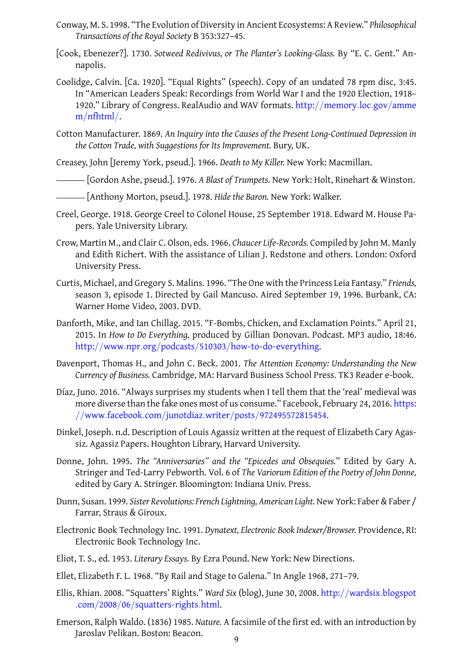- *Transactions of the Royal Society* B 353:327–45.
- [Cook, Ebenezer?]. 1730. *Sotweed Redivivus, or The Planter's Looking-Glass.* By "E. C. Gent." Annapolis.
- <span id="page-8-3"></span>Coolidge, Calvin. [Ca. 1920]. "Equal Rights" (speech). Copy of an undated 78 rpm disc, 3:45. In "American Leaders Speak: Recordings from World War I and the 1920 Election, 1918– 1920." Library of Congress. RealAudio and WAV formats. http://memory*.*loc*.*gov/amme m/nfhtml/.
- <span id="page-8-5"></span>Cotton Manufacturer. 1869. *An Inquiry into the Causes of the Pre[sent Long-Continued Depression in](http://memory.loc.gov/ammem/nfhtml/) the Cotton Trade, with Suggestions for Its Improvement.* Bury, UK.

Crea[sey, John \[Je](http://memory.loc.gov/ammem/nfhtml/)remy York, pseud.]. 1966. *Death to My Killer.* New York: Macmillan.

<span id="page-8-8"></span>[Gordon Ashe, pseud.]. 1976. *A Blast of Trumpets.* New York: Holt, Rinehart & Winston.

<span id="page-8-11"></span>[Anthony Morton, pseud.]. 1978. *Hide the Baron.* New York: Walker.

- <span id="page-8-9"></span>Creel, George. 1918. George Creel to Colonel House, 25 September 1918. Edward M. House Papers. Yale University Library.
- <span id="page-8-10"></span>Crow, Martin M., and Clair C. Olson, eds. 1966. *Chaucer Life-Records.* Compiled by John M. Manly and Edith Richert. With the assistance of Lilian J. Redstone and others. London: Oxford University Press.
- <span id="page-8-2"></span>Curtis, Michael, and Gregory S. Malins. 1996. "The One with the Princess Leia Fantasy." *Friends,* season 3, episode 1. Directed by Gail Mancuso. Aired September 19, 1996. Burbank, CA: Warner Home Video, 2003. DVD.
- <span id="page-8-6"></span>Danforth, Mike, and Ian Chillag. 2015. "F-Bombs, Chicken, and Exclamation Points." April 21, 2015. In *How to Do Everything,* produced by Gillian Donovan. Podcast. MP3 audio, 18:46. http://www*.*npr*.*org/podcasts/510303/how-to-do-everything.
- <span id="page-8-13"></span>Davenport, Thomas H., and John C. Beck. 2001. *The Attention Economy: Understanding the New Currency of Business.* Cambridge, MA: Harvard Business School Press. TK3 Reader e-book.
- <span id="page-8-12"></span>Díaz, [Juno. 2016. "Always surprises my students when I tell them tha](http://www.npr.org/podcasts/510303/how-to-do-everything)t the 'real' medieval was more diverse than the fake ones most of us consume." Facebook, February 24, 2016. https: //www*.*facebook*.*com/junotdiaz*.*writer/posts/972495572815454.
- <span id="page-8-14"></span>Dinkel, Joseph. n.d. Description of Louis Agassiz written at the request of Elizabeth Cary [Agas](https://www.facebook.com/junotdiaz.writer/posts/972495572815454)siz. Agassiz Papers. Houghton Library, Harvard University.
- Donne, John. 1995. *[The "Anniversaries" and the "Epicedes and Obsequi](https://www.facebook.com/junotdiaz.writer/posts/972495572815454)es.*" Edited by Gary A. Stringer and Ted-Larry Pebworth. Vol. 6 of *The Variorum Edition of the Poetry of John Donne,* edited by Gary A. Stringer. Bloomington: Indiana Univ. Press.
- Dunn, Susan. 1999. *Sister Revolutions: French Lightning, American Light.* New York: Faber & Faber / Farrar, Straus & Giroux.
- Electronic Book Technology Inc. 1991. *Dynatext, Electronic Book Indexer/Browser.* Providence, RI: Electronic Book Technology Inc.
- Eliot, T. S., ed. 1953. *Literary Essays.* By Ezra Pound. New York: New Directions.
- <span id="page-8-0"></span>Ellet, Elizabeth F. L. 1968. "By Rail and Stage to Galena." In Angle 1968, 271–79.
- <span id="page-8-1"></span>Ellis, Rhian. 2008. "Squatters' Rights." *Ward Six* (blog), June 30, 2008. http://wardsix*.*blogspot *.*com/2008/06/squatters-rights*.*html.
- <span id="page-8-7"></span><span id="page-8-4"></span>Emerson, Ralph Waldo. (1836) 1985. *Nature.* A facsimile of the firs[t ed. w](#page-6-5)[ith an introduction by](http://wardsix.blogspot.com/2008/06/squatters-rights.html) [Jaroslav Pelikan. Boston: Beacon.](http://wardsix.blogspot.com/2008/06/squatters-rights.html) 9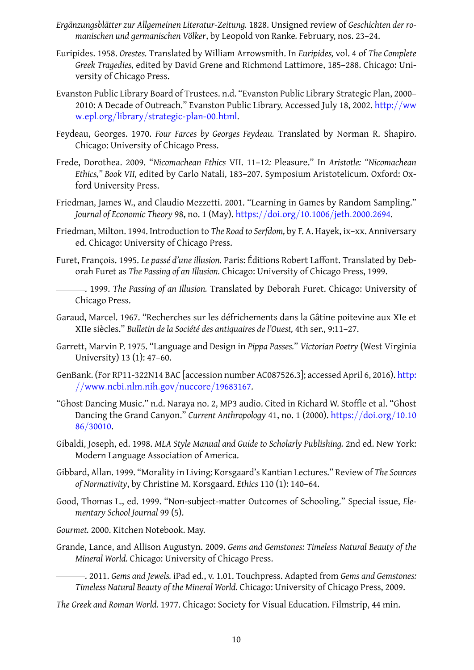- *manischen und germanischen Völker*, by Leopold von Ranke*.* February, nos. 23–24.
- Euripides. 1958. *Orestes.* Translated by William Arrowsmith. In *Euripides,* vol. 4 of *The Complete Greek Tragedies,* edited by David Grene and Richmond Lattimore, 185–288. Chicago: University of Chicago Press.
- <span id="page-9-2"></span>Evanston Public Library Board of Trustees. n.d. "Evanston Public Library Strategic Plan, 2000– 2010: A Decade of Outreach." Evanston Public Library. Accessed July 18, 2002. http://ww w*.*epl*.*org/library/strategic-plan-00*.*html.
- <span id="page-9-0"></span>Feydeau, Georges. 1970. *Four Farces by Georges Feydeau.* Translated by Norman [R. Shapiro.](http://www.epl.org/library/strategic-plan-00.html) Chicago: University of Chicago Press.
- <span id="page-9-8"></span>Fred[e, Dorothea. 2009. "](http://www.epl.org/library/strategic-plan-00.html)*Nicomachean Ethics* VII. 11–12*:* Pleasure." In *Aristotle: "Nicomachean Ethics," Book VII,* edited by Carlo Natali, 183–207. Symposium Aristotelicum. Oxford: Oxford University Press.
- <span id="page-9-12"></span>Friedman, James W., and Claudio Mezzetti. 2001. "Learning in Games by Random Sampling." *Journal of Economic Theory* 98, no. 1 (May). https://doi*.*org/10*.*1006/jeth*.*2000*.*2694.
- <span id="page-9-3"></span>Friedman, Milton. 1994. Introduction to *The Road to Serfdom,* by F. A. Hayek, ix–xx. Anniversary ed. Chicago: University of Chicago Press.
- <span id="page-9-14"></span>Furet, François. 1995. *Le passé d'une illusion.* Pa[ris: Éditions Robert Laffont. Translated b](https://doi.org/10.1006/jeth.2000.2694)y Deborah Furet as *The Passing of an Illusion.* Chicago: University of Chicago Press, 1999.
- <span id="page-9-10"></span>. 1999. *The Passing of an Illusion.* Translated by Deborah Furet. Chicago: University of Chicago Press.
- <span id="page-9-9"></span>Garaud, Marcel. 1967. "Recherches sur les défrichements dans la Gâtine poitevine aux XIe et XIIe siècles." *Bulletin de la Société des antiquaires de l'Ouest,* 4th ser., 9:11–27.
- <span id="page-9-4"></span>Garrett, Marvin P. 1975. "Language and Design in *Pippa Passes.*" *Victorian Poetry* (West Virginia University) 13 (1): 47–60.
- <span id="page-9-5"></span>GenBank. (For RP11-322N14 BAC [accession number AC087526.3]; accessed April 6, 2016). http: //www*.*ncbi*.*nlm*.*nih*.*gov/nuccore/19683167.
- <span id="page-9-15"></span>"Ghost Dancing Music." n.d. Naraya no. 2, MP3 audio. Cited in Richard W. Stoffle et al. "Ghost Dancing the Grand Canyon." *Current Anthropology* 41, no. 1 (2000). https://doi*.*org/10*.*[10](http://www.ncbi.nlm.nih.gov/nuccore/19683167) 86/[30010.](http://www.ncbi.nlm.nih.gov/nuccore/19683167)
- <span id="page-9-16"></span>Gibaldi, Joseph, ed. 1998. *MLA Style Manual and Guide to Scholarly Publishing.* [2nd ed. New York:](https://doi.org/10.1086/30010) Modern Language Association of America.
- <span id="page-9-11"></span>Gibb[ard, Allan](https://doi.org/10.1086/30010). 1999. "Morality in Living: Korsgaard's Kantian Lectures." Review of *The Sources of Normativity*, by Christine M. Korsgaard. *Ethics* 110 (1): 140–64.
- <span id="page-9-6"></span>Good, Thomas L., ed. 1999. "Non-subject-matter Outcomes of Schooling." Special issue, *Elementary School Journal* 99 (5).
- *Gourmet.* 2000. Kitchen Notebook. May.
- <span id="page-9-13"></span>Grande, Lance, and Allison Augustyn. 2009. *Gems and Gemstones: Timeless Natural Beauty of the Mineral World.* Chicago: University of Chicago Press.

<span id="page-9-1"></span>. 2011. *Gems and Jewels.* iPad ed., v. 1.01. Touchpress. Adapted from *Gems and Gemstones: Timeless Natural Beauty of the Mineral World.* Chicago: University of Chicago Press, 2009.

<span id="page-9-7"></span>*The Greek and Roman World.* 1977. Chicago: Society for Visual Education. Filmstrip, 44 min.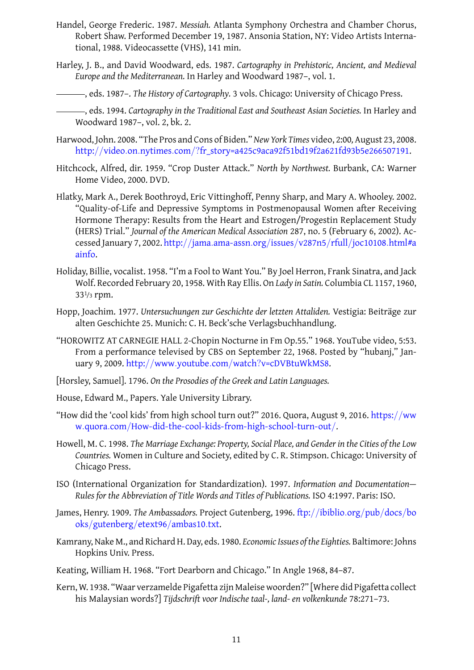- tional, 1988. Videocassette (VHS), 141 min.
- <span id="page-10-5"></span>Harley, J. B., and David Woodward, eds. 1987. *Cartography in Prehistoric, Ancient, and Medieval Europe and the Mediterranean.* In Harley and Woodward 1987–, vol. 1.
- <span id="page-10-11"></span>, eds. 1987–. *The History of Cartography.* 3 vols. Chicago: University of Chicago Press.
	- , eds. 1994. *Cartography in the Traditional East and Sou[theast A](#page-10-16)sian Societies.* In Harley and Woodward 1987–, vol. 2, bk. 2.
- <span id="page-10-16"></span><span id="page-10-10"></span>Harwood, John. 2008. "The Pros and Cons of Biden." *New York Times* video, 2:00*,* August 23, 2008. http://video*.*on*.*nytimes*.*com/?fr\_story=a425c9aca92f51bd19f2a621fd93b5e266507191.
- <span id="page-10-13"></span>Hitchcock, Alfr[ed, dir.](#page-10-16) 1959. "Crop Duster Attack." *North by Northwest.* Burbank, CA: Warner Home Video, 2000. DVD.
- <span id="page-10-14"></span><span id="page-10-3"></span>Hlat[ky, Mark A., Derek Boothroyd, Eric Vittinghoff, Penny Sharp, and Mary A. Whooley. 200](http://video.on.nytimes.com/?fr_story=a425c9aca92f51bd19f2a621fd93b5e266507191)2. "Quality-of-Life and Depressive Symptoms in Postmenopausal Women after Receiving Hormone Therapy: Results from the Heart and Estrogen/Progestin Replacement Study (HERS) Trial." *Journal of the American Medical Association* 287, no. 5 (February 6, 2002). Accessed January 7, 2002. http://jama*.*ama-assn*.*org/issues/v287n5/rfull/joc10108*.*html#a ainfo.
- Holiday, Billie, vocalist. 1958. "I'm a Fool to Want You." By Joel Herron, Frank Sinatra, and Jack Wolf. Recorded Februa[ry 20, 1958. With Ray Ellis. On](http://jama.ama-assn.org/issues/v287n5/rfull/joc10108.html#aainfo) *Lady in Satin.* Columbia CL 1157, 1960, [33](http://jama.ama-assn.org/issues/v287n5/rfull/joc10108.html#aainfo)1/3 rpm.
- <span id="page-10-6"></span>Hopp, Joachim. 1977. *Untersuchungen zur Geschichte der letzten Attaliden.* Vestigia: Beiträge zur alten Geschichte 25. Munich: C. H. Beck'sche Verlagsbuchhandlung.
- <span id="page-10-8"></span>"HOROWITZ AT CARNEGIE HALL 2-Chopin Nocturne in Fm Op.55." 1968. YouTube video, 5:53. From a performance televised by CBS on September 22, 1968. Posted by "hubanj," January 9, 2009. http://www*.*youtube*.*com/watch?v=cDVBtuWkMS8.
- <span id="page-10-4"></span>[Horsley, Samuel]. 1796. *On the Prosodies of the Greek and Latin Languages.*
- House, Edward M.[, Papers. Yale University Library.](http://www.youtube.com/watch?v=cDVBtuWkMS8)
- <span id="page-10-1"></span>"How did the 'cool kids' from high school turn out?" 2016. Quora, August 9, 2016. https://ww w*.*quora*.*com/How-did-the-cool-kids-from-high-school-turn-out/.
- <span id="page-10-15"></span>Howell, M. C. 1998. *The Marriage Exchange: Property, Social Place, and Gender in the Cities of the Low Countries.* Women in Culture and Society, edited by C. R. Stimpson. Chicago: [University of](https://www.quora.com/How-did-the-cool-kids-from-high-school-turn-out/) [Chicago Press.](https://www.quora.com/How-did-the-cool-kids-from-high-school-turn-out/)
- <span id="page-10-9"></span>ISO (International Organization for Standardization). 1997. *Information and Documentation— Rules for the Abbreviation of Title Words and Titles of Publications.* ISO 4:1997. Paris: ISO.
- <span id="page-10-0"></span>James, Henry. 1909. *The Ambassadors.* Project Gutenberg, 1996. ftp://ibiblio*.*org/pub/docs/bo oks/gutenberg/etext96/ambas10*.*txt.
- <span id="page-10-2"></span>Kamrany, Nake M., and Richard H. Day, eds. 1980. *Economic Issues of the Eighties.* [Baltimore: Johns](ftp://ibiblio.org/pub/docs/books/gutenberg/etext96/ambas10.txt) Hopkins Univ. Press.
- Keat[ing, William H. 1968. "Fort Dearborn a](ftp://ibiblio.org/pub/docs/books/gutenberg/etext96/ambas10.txt)nd Chicago." In Angle 1968, 84–87.
- <span id="page-10-12"></span><span id="page-10-7"></span>Kern, W. 1938. "Waar verzamelde Pigafetta zijn Maleise woorden?" [Where did Pigafetta collect his Malaysian words?] *Tijdschrift voor Indische taal-, land- en v[olken](#page-6-5)kunde* 78:271–73.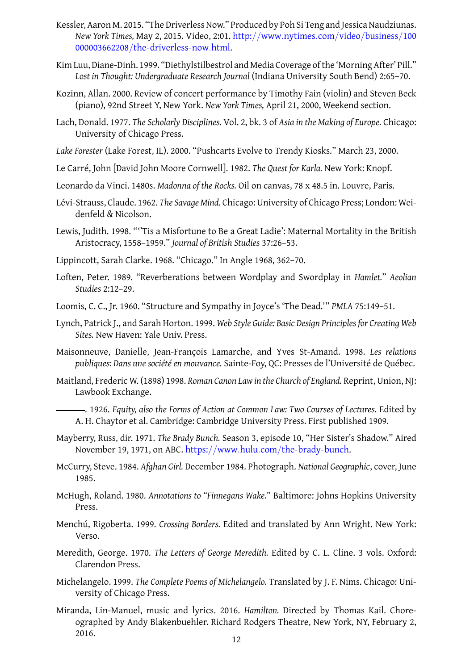- *New York Times,* May 2, 2015. Video, 2:01. http://www*.*nytimes*.*com/video/business/100 000003662208/the-driverless-now*.*html.
- <span id="page-11-13"></span>Kim Luu, Diane-Dinh. 1999. "Diethylstilbestrol and Media Coverage of the 'Morning After' Pill." *Lost in Thought: Undergraduate Research Journal* [\(Indiana University South Bend\) 2:65–70.](http://www.nytimes.com/video/business/100000003662208/the-driverless-now.html)
- Kozi[nn, Allan. 2000. Review of concert perfor](http://www.nytimes.com/video/business/100000003662208/the-driverless-now.html)mance by Timothy Fain (violin) and Steven Beck (piano), 92nd Street Y, New York. *New York Times,* April 21, 2000, Weekend section.
- Lach, Donald. 1977. *The Scholarly Disciplines.* Vol. 2, bk. 3 of *Asia in the Making of Europe.* Chicago: University of Chicago Press.
- *Lake Forester* (Lake Forest, IL). 2000. "Pushcarts Evolve to Trendy Kiosks." March 23, 2000.
- <span id="page-11-4"></span>Le Carré, John [David John Moore Cornwell]. 1982. *The Quest for Karla.* New York: Knopf.
- <span id="page-11-2"></span>Leonardo da Vinci. 1480s. *Madonna of the Rocks.* Oil on canvas, 78 x 48.5 in. Louvre, Paris.
- <span id="page-11-5"></span>Lévi-Strauss, Claude. 1962. *The Savage Mind.* Chicago: University of Chicago Press; London: Weidenfeld & Nicolson.
- <span id="page-11-6"></span><span id="page-11-3"></span>Lewis, Judith. 1998. ["''Tis](#page-11-3) a Misfortune to Be a Great Ladie': Maternal Mortality in the British Aristocracy, 1558–1959." *Journal of British Studies* 37:26–53.
- Lippincott, Sarah Clarke. 1968. "Chicago." In Angle 1968, 362–70.
- Loften, Peter. 1989. "Reverberations between Wordplay and Swordplay in *Hamlet.*" *Aeolian Studies* 2:12–29.
- Loomis, C. C., Jr. 1960. "Structure and Sympathy in [Joyce](#page-6-5)'s 'The Dead.'" *PMLA* 75:149–51.
- Lynch, Patrick J., and Sarah Horton. 1999. *Web Style Guide: Basic Design Principles for Creating Web Sites.* New Haven: Yale Univ. Press.
- <span id="page-11-7"></span>Maisonneuve, Danielle, Jean-François Lamarche, and Yves St-Amand. 1998. *Les relations publiques: Dans une société en mouvance.* Sainte-Foy, QC: Presses de l'Université de Québec.
- <span id="page-11-8"></span>Maitland, Frederic W. (1898) 1998. *Roman Canon Law in the Church of England.* Reprint, Union, NJ: Lawbook Exchange.
	- . 1926. *Equity, also the Forms of Action at Common Law: Two Courses of Lectures.* Edited by A. H. Chaytor et al. Cambridge: Cambridge University Press. First published 1909.
- <span id="page-11-1"></span><span id="page-11-0"></span>Mayberry, Russ, dir. 1971. *The Brady Bunch.* Season 3, episode 10, "Her Sister's Shadow." Aired November 19, 1971, on ABC. https://www*.*hulu*.*com/the-brady-bunch.
- McCurry, Steve. 1984. *Afghan Girl.* December 1984. Photograph. *National Geographic*, cover, June 1985.
- <span id="page-11-14"></span>McHugh, Rolan[d. 198](#page-11-14)0. *Annotations to "Finnegans Wake.*[" Baltimore: Johns Ho](https://www.hulu.com/the-brady-bunch)pkins University Press.
- <span id="page-11-9"></span>Menchú, Rigoberta. 1999. *Crossing Borders.* Edited and translated by Ann Wright. New York: Verso.
- <span id="page-11-10"></span>Meredith, George. 1970. *The Letters of George Meredith.* Edited by C. L. Cline. 3 vols. Oxford: Clarendon Press.
- <span id="page-11-11"></span>Michelangelo. 1999. *The Complete Poems of Michelangelo.* Translated by J. F. Nims. Chicago: University of Chicago Press.
- <span id="page-11-15"></span><span id="page-11-12"></span>Miranda, Lin-Manuel, music and lyrics. 2016. *Hamilton.* Directed by Thomas Kail. Choreographed by Andy Blakenbuehler. Richard Rodgers Theatre, New York, NY, February 2, 2016.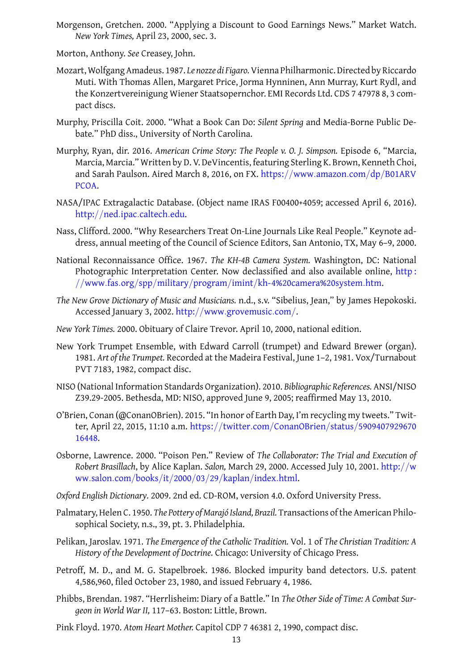*New York Times,* April 23, 2000, sec. 3. Morton, Anthony. *See* Creasey, John.

- <span id="page-12-3"></span>Mozart, Wolfgang Amadeus. 1987. *Le nozze di Figaro.*Vienna Philharmonic. Directed by Riccardo Muti. With Thomas Allen, Margaret Price, Jorma Hynninen, Ann Murray, Kurt Rydl, and the Konzertvereinigung Wiener Staatsopernchor. EMI Records Ltd. CDS 7 47978 8, 3 compact discs.
- <span id="page-12-11"></span>Murphy, Priscilla Coit. 2000. "What a Book Can Do: *Silent Spring* and Media-Borne Public Debate*.*" PhD diss., University of North Carolina.
- <span id="page-12-13"></span>Murphy, Ryan, dir. 2016. *American Crime Story: The People v. O. J. Simpson.* Episode 6, "Marcia, Marcia, Marcia." Written by D. V. DeVincentis, featuring Sterling K. Brown, Kenneth Choi, and Sarah Paulson. Aired March 8, 2016, on FX. https://www*.*amazon*.*com/dp/B01ARV PCOA.
- NASA/IPAC Extragalactic Database. (Object name IR[AS F00400+4059; accessed April 6, 2016\).](https://www.amazon.com/dp/B01ARVPCOA) http://ned*.*ipac*.*caltech*.*edu.
- <span id="page-12-15"></span>Nass[, Cliffo](https://www.amazon.com/dp/B01ARVPCOA)rd. 2000. "Why Researchers Treat On-Line Journals Like Real People." Keynote address, annual meeting of the Council of Science Editors, San Antonio, TX, May 6–9, 2000.
- <span id="page-12-14"></span>Nati[onal Reconnaissance Office.](http://ned.ipac.caltech.edu) 1967. *The KH-4B Camera System.* Washington, DC: National Photographic Interpretation Center. Now declassified and also available online, http: //www*.*fas*.*org/spp/military/program/imint/kh-4%20camera%20system*.*htm.
- <span id="page-12-5"></span>*The New Grove Dictionary of Music and Musicians.* n.d., s.v. "Sibelius, Jean," by James Hepo[koski.](http://www.fas.org/spp/military/program/imint/kh-4%20camera%20system.htm) Accessed January 3, 2002. http://www*.*grovemusic*.*com/.
- *New York Times.* [2000. Obituary of Claire Trevor. April 10, 2000, national edition.](http://www.fas.org/spp/military/program/imint/kh-4%20camera%20system.htm)
- <span id="page-12-0"></span>New York Trumpet Ensemble, [with Edward Carroll \(trumpet](http://www.grovemusic.com/)) and Edward Brewer (organ). 1981. *Art of the Trumpet.* Recorded at the Madeira Festival, June 1–2, 1981. Vox/Turnabout PVT 7183, 1982, compact disc.
- <span id="page-12-2"></span><span id="page-12-1"></span>NISO (National Information Standards Organization). 2010. *Bibliographic References.* ANSI/NISO Z39.29-2005. Bethesda, MD: NISO, approved June 9, 2005; reaffirmed May 13, 2010.
- <span id="page-12-17"></span>O'Brien, Conan (@ConanOBrien). 2015. "In honor of Earth Day, I'm recycling my tweets." Twitter, April 22, 2015, 11:10 a.m. https://twitter*.*co[m](#page-12-17)/ConanOBrien/status/5909407929670 16448.
- <span id="page-12-16"></span>Osborne, Lawrence. 2000. "Poison Pen." Review of *The Collaborator: The Trial and Execution of Robert Brasillach*, by Alice Kaplan. *Salon,* [March 29, 2000. Accessed July 10, 2001.](https://twitter.com/ConanOBrien/status/590940792967016448) http://w [ww](https://twitter.com/ConanOBrien/status/590940792967016448)*.*salon*.*com/books/it/2000/03/29/kaplan/index*.*html.
- <span id="page-12-4"></span>*Oxford English Dictionary.* 2009. 2nd ed. CD-ROM, version 4.0. Oxford University Press.
- Palmatary, Helen C. 1950. *The Pottery of Marajó Island, Brazil.* Transactions of the Ameri[can Philo](http://www.salon.com/books/it/2000/03/29/kaplan/index.html)[sophical Society, n.s., 39, pt. 3. Philadelphia.](http://www.salon.com/books/it/2000/03/29/kaplan/index.html)
- <span id="page-12-9"></span><span id="page-12-6"></span>Pelikan, Jaroslav. 1971. *The Emergence of the Catholic Tradition.* Vol. 1 of *The Christian Tradition: A History of the Development of Doctrine.* Chicago: University of Chicago Press.
- <span id="page-12-7"></span>Petroff, M. D., and M. G. Stapelbroek. 1986. Blocked impurity band detectors. U.S. patent 4,586,960, filed October 23, 1980, and issued February 4, 1986.
- <span id="page-12-12"></span>Phibbs, Brendan. 1987. "Herrlisheim: Diary of a Battle." In *The Other Side of Time: A Combat Surgeon in World War II,* 117–63. Boston[: Littl](#page-12-12)e, Brown.
- <span id="page-12-10"></span><span id="page-12-8"></span>Pink Floyd. 1970. *Atom Heart Mother.* Capitol CDP 7 46381 2, 1990, compact disc.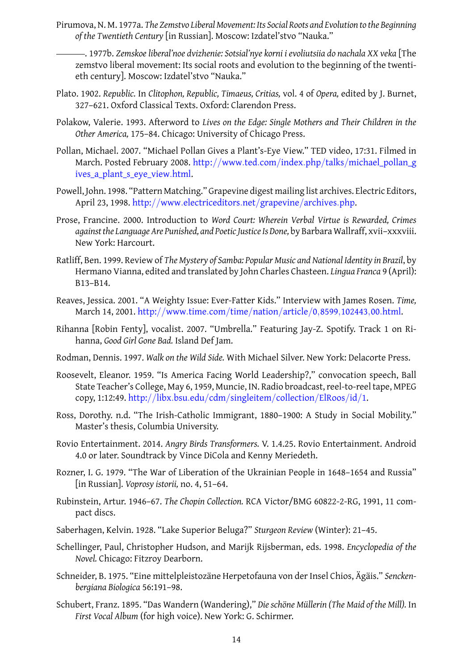- *of the Twentieth Century* [in Russian]. Moscow: Izdatel'stvo "Nauka."
- <span id="page-13-0"></span>. 1977b. *Zemskoe liberal'noe dvizhenie: Sotsial'nye korni i evoliutsiia do nachala XX veka* [The zemstvo liberal movement: Its social roots and evolution to the beginning of the twentieth century]. Moscow: Izdatel'stvo "Nauka."
- <span id="page-13-1"></span>Plato. 1902. *Republic.* In *Clitophon, Republic, Timaeus, Critias,* vol. 4 of *Opera,* edited by J. Burnet, 327–621. Oxford Classical Texts. Oxford: Clarendon Press.
- <span id="page-13-2"></span>Polakow, Valerie. 1993. Afterword to *Lives on the Edge: Single Mothers and Their Children in the Other America,* 175–84. Chicago: University of Chicago Press.
- <span id="page-13-12"></span>Pollan, Michael. 2007. "Michael Pollan Gives a Plant's-Eye View." TED video, 17:31. Filmed in March. Posted February 2008. http://www*.*ted*.*com/index*.*php/talks/michael\_pollan\_g ives\_a\_plant\_s\_eye\_view*.*html.
- <span id="page-13-4"></span>Powell, John. 1998. "Pattern Matching." Grapevine digest mailing list archives. Electric Editors, April 23, 1998. http://www*.*el[ectriceditors](http://www.ted.com/index.php/talks/michael_pollan_gives_a_plant_s_eye_view.html)*.*net/grapevine/archives*.*php.
- <span id="page-13-10"></span>Pros[e, Francine. 2000. Introductio](http://www.ted.com/index.php/talks/michael_pollan_gives_a_plant_s_eye_view.html)n to *Word Court: Wherein Verbal Virtue is Rewarded, Crimes against the Language Are Punished, and PoeticJusticeIs Done,* by Barbara Wallraff, xvii–xxxviii. New York: Har[court.](http://www.electriceditors.net/grapevine/archives.php)
- Ratliff, Ben. 1999. Review of *The Mystery of Samba: Popular Music and National Identity in Brazil*, by Hermano Vianna, edited and translated by John Charles Chasteen. *Lingua Franca* 9 (April): B13–B14.
- <span id="page-13-11"></span>Reaves, Jessica. 2001. "A Weighty Issue: Ever-Fatter Kids." Interview with James Rosen. *Time,* March 14, 2001. http://www*.*time*.*com/time/nation/article/0*,*8599*,*102443*,*00*.*html.
- <span id="page-13-5"></span>Rihanna [Robin Fenty], vocalist. 2007. "Umbrella." Featuring Jay-Z. Spotify. Track 1 on Rihanna, *Good Girl Gone Bad.* Island Def Jam.
- Rodman, Dennis. 1997. *Walk on the Wild Side.* [With Michael Silver. New York: Delacorte Pre](http://www.time.com/time/nation/article/0,8599,102443,00.html)ss.
- <span id="page-13-15"></span>Roosevelt, Eleanor. 1959. "Is America Facing World Leadership?," convocation speech, Ball State Teacher's College, May 6, 1959, Muncie, IN. Radio broadcast, reel-to-reel tape, MPEG copy, 1:12:49. http://libx*.*bsu*.*edu/cdm/singleitem/collection/ElRoos/id/1.
- <span id="page-13-9"></span><span id="page-13-7"></span>Ross, Dorothy. n.d. "The Irish-Catholic Immigrant, 1880–1900: A Study in Social Mobility." Master's thesis, Columbia University.
- Rovio Entertainment. 2014. *Angry Birds Transformers.* [V. 1.4.25. Rovio Entertainm](http://libx.bsu.edu/cdm/singleitem/collection/ElRoos/id/1)ent. Android 4.0 or later. Soundtrack by Vince DiCola and Kenny Meriedeth.
- <span id="page-13-14"></span>Rozner, I. G. 1979. "The War of Liberation of the Ukrainian People in 1648–1654 and Russia" [in Russian]. *Voprosy istorii,* no. 4, 51–64.
- <span id="page-13-6"></span>Rubinstein, Artur. 1946–67. *The Chopin Collection.* RCA Victor/BMG 60822-2-RG, 1991, 11 compact discs.
- Saberhagen, Kelvin. 1928. "Lake Superior Beluga?" *Sturgeon Review* (Winter): 21–45.
- Schellinger, Paul, Christopher Hudson, and Marijk Rijsberman, eds. 1998. *Encyclopedia of the Novel.* Chicago: Fitzroy Dearborn.
- <span id="page-13-13"></span><span id="page-13-8"></span>Schneider, B. 1975. "Eine mittelpleistozäne Herpetofauna von der Insel Chios, Ägäis." *Senckenbergiana Biologica* 56:191–98.
- <span id="page-13-3"></span>Schubert, Franz. 1895. "Das Wandern (Wandering)," *Die schöne Müllerin (The Maid of the Mill).* In *First Vocal Album* (for high voice). New York: G. Schirmer.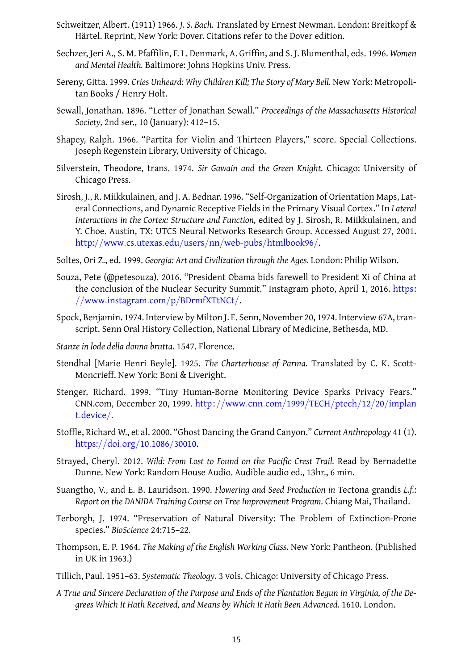- Härtel. Reprint, New York: Dover. Citations refer to the Dover edition.
- Sechzer, Jeri A., S. M. Pfaffilin, F. L. Denmark, A. Griffin, and S. J. Blumenthal, eds. 1996. *Women and Mental Health.* Baltimore: Johns Hopkins Univ. Press.
- <span id="page-14-7"></span>Sereny, Gitta. 1999. *Cries Unheard: Why Children Kill; The Story of Mary Bell.* New York: Metropolitan Books / Henry Holt.
- <span id="page-14-8"></span>Sewall, Jonathan. 1896. "Letter of Jonathan Sewall." *Proceedings of the Massachusetts Historical Society,* 2nd ser., 10 (January): 412–15.
- Shapey, Ralph. 1966. "Partita for Violin and Thirteen Players," score. Special Collections. Joseph Regenstein Library, University of Chicago.
- <span id="page-14-4"></span>Silverstein, Theodore, trans. 1974. *Sir Gawain and the Green Knight.* Chicago: University of Chicago Press.
- <span id="page-14-0"></span>Sirosh, J., R. Miikkulainen, and J. A. Bednar. 1996. "Self-Organization of Orientation Maps, Lateral Connections, and Dynamic Receptive Fields in the Primary Visual Cortex." In *Lateral Interactions in the Cortex: Structure and Function,* edited by J. Sirosh, R. Miikkulainen, and Y. Choe. Austin, TX: UTCS Neural Networks Research Group. Accessed August 27, 2001. http://www*.*cs*.*utexas*.*edu/users/nn/web-pubs/htmlbook96/.
- Soltes, Ori Z., ed. 1999. *Georgia: Art and Civilization through the Ages.* London: Philip Wilson.
- Souz[a, Pete \(@petesouza\). 2016. "President Obama bids farewell to](http://www.cs.utexas.edu/users/nn/web-pubs/htmlbook96/) President Xi of China at the conclusion of the Nuclear Security Summit." Instagram photo, April 1, 2016. https: //www*.*instagram*.*com/p/BDrmfXTtNCt/.
- Spock, Benjamin. 1974. Interview by Milton J. E. Senn, November 20, 1974. Interview 67A[, tran](https://www.instagram.com/p/BDrmfXTtNCt/)script. Senn Oral History Collection, National Library of Medicine, Bethesda, MD.
- *Stan[ze in lode della donna brutta.](https://www.instagram.com/p/BDrmfXTtNCt/)* 1547. Florence.
- Stendhal [Marie Henri Beyle]. 1925. *The Charterhouse of Parma.* Translated by C. K. Scott-Moncrieff. New York: Boni & Liveright.
- <span id="page-14-3"></span><span id="page-14-1"></span>Stenger, Richard. 1999. "Tiny Human-Borne Monitoring Device Sparks Privacy Fears." CNN.com, December 20, 1999. http://www*.*cnn*.*com/1999/TECH/ptech/12/20/implan t*.*device/.
- <span id="page-14-5"></span>Stoffle, Richard W., et al. 2000. "Gho[st Dancing the Grand Canyon."](http://www.cnn.com/1999/TECH/ptech/12/20/implant.device/) *Current Anthropology* 41 (1). https://doi*.*org/10*.*1086/30010.
- <span id="page-14-10"></span>Stra[yed, Chery](http://www.cnn.com/1999/TECH/ptech/12/20/implant.device/)l. 2012. *Wild: From Lost to Found on the Pacific Crest Trail.* Read by Bernadette Dunne. New York: Random House Audio. Audible audio ed., 13hr., 6 min.
- <span id="page-14-11"></span>Suan[gtho, V., and E. B. Lauridson. 1](https://doi.org/10.1086/30010)990. *Flowering and Seed Production in* Tectona grandis *L.f.*: *Report on the DANIDA Training Course on Tree Improvement Program.* Chiang Mai, Thailand.
- <span id="page-14-9"></span>Terborgh, J. 1974. "Preservation of Natural Diversity: The Problem of Extinction-Prone species." *BioScience* 24:715–22.
- <span id="page-14-6"></span>Thompson, E. P. 1964. *The Making of the English Working Class.* New York: Pantheon. (Published in UK in 1963.)
- Tillich, Paul. 1951–63. *Systematic Theology.* 3 vols. Chicago: University of Chicago Press.
- <span id="page-14-2"></span>*A True and Sincere Declaration of the Purpose and Ends of the Plantation Begun in Virginia, of the Degrees Which It Hath Received, and Means by Which It Hath Been Advanced.* 1610. London.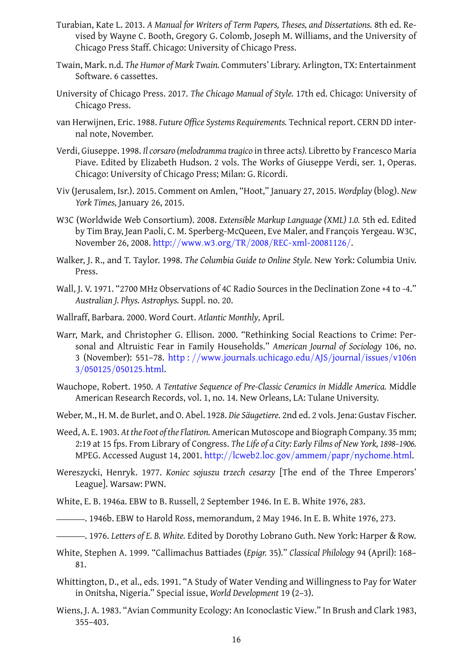- vised by Wayne C. Booth, Gregory G. Colomb, Joseph M. Williams, and the University of Chicago Press Staff. Chicago: University of Chicago Press.
- <span id="page-15-9"></span>Twain, Mark. n.d. *The Humor of Mark Twain.* Commuters' Library. Arlington, TX: Entertainment Software. 6 cassettes.
- <span id="page-15-7"></span>University of Chicago Press. 2017. *The Chicago Manual of Style.* 17th ed. Chicago: University of Chicago Press.
- <span id="page-15-0"></span>van Herwijnen, Eric. 1988. *Future Office Systems Requirements.* Technical report. CERN DD internal note, November.
- <span id="page-15-16"></span>Verdi, Giuseppe. 1998. *Il corsaro (melodramma tragico* in three acts*).* Libretto by Francesco Maria Piave. Edited by Elizabeth Hudson. 2 vols. The Works of Giuseppe Verdi, ser. 1, Operas. Chicago: University of Chicago Press; Milan: G. Ricordi.
- <span id="page-15-3"></span>Viv (Jerusalem, Isr.). 2015. Comment on Amlen, "Hoot," January 27, 2015. *Wordplay* (blog). *New York Times,* January 26, 2015.
- W3C (Worldwide Web Consortium). 2008. *Extensible Markup Language (XML) 1.0.* 5th ed. Edited by Tim Bray, Jean Paoli, C. M. Sperberg-McQueen, Eve Maler, and François Yergeau. W3C, November 26, 2008. http://www*.*w3*.*org/TR/2008/REC-xml-20081126/.
- Walker, J. R., and T. Taylor. 1998. *The Columbia Guide to Online Style.* New York: Columbia Univ. Press.
- <span id="page-15-10"></span>Wall, J. V. 1971. "2700 M[Hz Observations of 4C Radio Sources in the Declinatio](http://www.w3.org/TR/2008/REC-xml-20081126/)n Zone +4 to -4." *Australian J. Phys. Astrophys.* Suppl. no. 20.
- <span id="page-15-4"></span>Wallraff, Barbara. 2000. Word Court. *Atlantic Monthly,* April.
- <span id="page-15-17"></span>Warr, Mark, and Christopher G. Ellison. 2000. "Rethinking Social Reactions to Crime: Personal and Altruistic Fear in Family Households." *American Journal of Sociology* 106, no. 3 (November): 551–78. http : //www*.*journals*.*uchicago*.*edu/AJS/journal/issues/v106n 3/050125/050125*.*html.
- <span id="page-15-5"></span>Wauchope, Robert. 1950. *A Tentative Sequence of Pre-Classic Ceramics in Middle America.* Middle American Research Rec[ords, vol. 1, no. 14. New Orleans, LA: Tulane University.](http://www.journals.uchicago.edu/AJS/journal/issues/v106n3/050125/050125.html)
- Web[er, M., H. M. de Burlet, a](http://www.journals.uchicago.edu/AJS/journal/issues/v106n3/050125/050125.html)nd O. Abel. 1928. *Die Säugetiere.* 2nd ed. 2 vols. Jena: Gustav Fischer.
- <span id="page-15-11"></span>Weed, A. E. 1903. *At the Foot of the Flatiron.* American Mutoscope and Biograph Company. 35 mm; 2:19 at 15 fps. From Library of Congress. *The Life of a City: Early Films of New York, 1898–1906.* MPEG. Accessed August 14, 2001. http://lcweb2*.*loc*.*gov/ammem/papr/nychome*.*html.
- <span id="page-15-12"></span><span id="page-15-8"></span>Wereszycki, Henryk. 1977. *Koniec sojuszu trzech cesarzy* [The end of the Three Emperors' League]. Warsaw: PWN.
- White, E. B. 1946a. EBW to B. Russell, [2 September 1946. In E. B. White](http://lcweb2.loc.gov/ammem/papr/nychome.html) 1976, 283.

<span id="page-15-13"></span>. 1946b. EBW to Harold Ross, memorandum, 2 May 1946. In E. B. White 1976, 273.

<span id="page-15-1"></span>. 1976. *Letters of E. B. White.* Edited by Dorothy Lobrano Guth. N[ew Yo](#page-15-14)rk: Harper & Row.

- <span id="page-15-2"></span>White, Stephen A. 1999. "Callimachus Battiades (*Epigr.* 35)*.*" *Classical Philology* [94 \(A](#page-15-14)pril): 168– 81.
- <span id="page-15-14"></span><span id="page-15-6"></span>Whittington, D., et al., eds. 1991. "A Study of Water Vending and Willingness to Pay for Water in Onitsha, Nigeria." Special issue, *World Development* 19 (2–3).
- <span id="page-15-15"></span>Wiens, J. A. 1983. "Avian Community Ecology: An Iconoclastic View." In Brush and Clark 1983, 355–403.